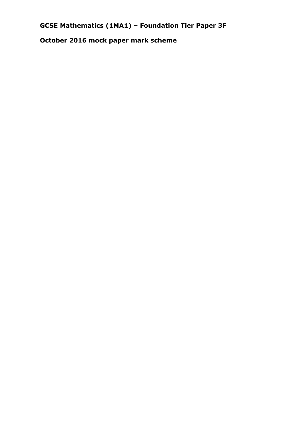# **GCSE Mathematics (1MA1) – Foundation Tier Paper 3F**

**October 2016 mock paper mark scheme**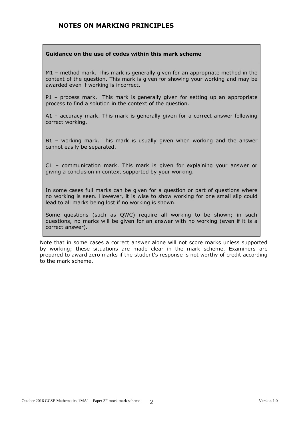#### **NOTES ON MARKING PRINCIPLES**

#### **Guidance on the use of codes within this mark scheme**

M1 – method mark. This mark is generally given for an appropriate method in the context of the question. This mark is given for showing your working and may be awarded even if working is incorrect.

P1 – process mark. This mark is generally given for setting up an appropriate process to find a solution in the context of the question.

A1 – accuracy mark. This mark is generally given for a correct answer following correct working.

B1 – working mark. This mark is usually given when working and the answer cannot easily be separated.

C1 – communication mark. This mark is given for explaining your answer or giving a conclusion in context supported by your working.

In some cases full marks can be given for a question or part of questions where no working is seen. However, it is wise to show working for one small slip could lead to all marks being lost if no working is shown.

Some questions (such as QWC) require all working to be shown; in such questions, no marks will be given for an answer with no working (even if it is a correct answer).

Note that in some cases a correct answer alone will not score marks unless supported by working; these situations are made clear in the mark scheme. Examiners are prepared to award zero marks if the student's response is not worthy of credit according to the mark scheme.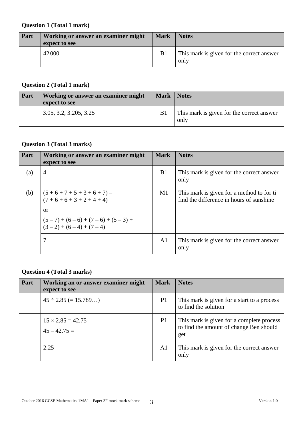#### **Question 1 (Total 1 mark)**

| Part | Working or answer an examiner might<br>expect to see | <b>Mark</b>    | <b>Notes</b>                                      |
|------|------------------------------------------------------|----------------|---------------------------------------------------|
|      | 42000                                                | B <sub>1</sub> | This mark is given for the correct answer<br>only |

#### **Question 2 (Total 1 mark)**

| Part | Working or answer an examiner might<br>expect to see | <b>Mark</b> | <b>Notes</b>                                      |
|------|------------------------------------------------------|-------------|---------------------------------------------------|
|      | 3.05, 3.2, 3.205, 3.25                               | <b>B</b> 1  | This mark is given for the correct answer<br>only |

## **Question 3 (Total 3 marks)**

| Part | Working or answer an examiner might<br>expect to see         | <b>Mark</b>    | <b>Notes</b>                                                                          |
|------|--------------------------------------------------------------|----------------|---------------------------------------------------------------------------------------|
| (a)  | $\overline{4}$                                               | B <sub>1</sub> | This mark is given for the correct answer<br>only                                     |
| (b)  | $(5+6+7+5+3+6+7)$ –<br>$(7+6+6+3+2+4+4)$                     | M1             | This mark is given for a method to for ti<br>find the difference in hours of sunshine |
|      | <sub>or</sub>                                                |                |                                                                                       |
|      | $(5-7) + (6-6) + (7-6) + (5-3) +$<br>$(3-2) + (6-4) + (7-4)$ |                |                                                                                       |
|      | 7                                                            | A <sub>1</sub> | This mark is given for the correct answer<br>only                                     |

## **Question 4 (Total 3 marks)**

| Part | Working an or answer examiner might<br>expect to see | <b>Mark</b>    | <b>Notes</b>                                                                                |
|------|------------------------------------------------------|----------------|---------------------------------------------------------------------------------------------|
|      | $45 \div 2.85 (= 15.789)$                            | P <sub>1</sub> | This mark is given for a start to a process<br>to find the solution                         |
|      | $15 \times 2.85 = 42.75$<br>$45 - 42.75 =$           | P <sub>1</sub> | This mark is given for a complete process<br>to find the amount of change Ben should<br>get |
|      | 2.25                                                 | A <sub>1</sub> | This mark is given for the correct answer<br>only                                           |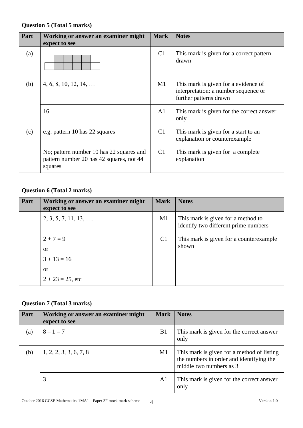## **Question 5 (Total 5 marks)**

| Part | Working or answer an examiner might<br>expect to see                                            | <b>Mark</b>    | <b>Notes</b>                                                                                           |
|------|-------------------------------------------------------------------------------------------------|----------------|--------------------------------------------------------------------------------------------------------|
| (a)  |                                                                                                 | C <sub>1</sub> | This mark is given for a correct pattern<br>drawn                                                      |
| (b)  | $4, 6, 8, 10, 12, 14, \ldots$                                                                   | M1             | This mark is given for a evidence of<br>interpretation: a number sequence or<br>further patterns drawn |
|      | 16                                                                                              | A1             | This mark is given for the correct answer<br>only                                                      |
| (c)  | e.g. pattern 10 has 22 squares                                                                  | C <sub>1</sub> | This mark is given for a start to an<br>explanation or counterexample                                  |
|      | No; pattern number 10 has 22 squares and<br>pattern number 20 has 42 squares, not 44<br>squares | C <sub>1</sub> | This mark is given for a complete<br>explanation                                                       |

### **Question 6 (Total 2 marks)**

| Part | Working or answer an examiner might<br>expect to see | <b>Mark</b>    | <b>Notes</b>                                                               |
|------|------------------------------------------------------|----------------|----------------------------------------------------------------------------|
|      | $2, 3, 5, 7, 11, 13, \ldots$                         | $\mathbf{M}1$  | This mark is given for a method to<br>identify two different prime numbers |
|      | $2 + 7 = 9$                                          | C <sub>1</sub> | This mark is given for a counterexample                                    |
|      | <sub>or</sub>                                        |                | shown                                                                      |
|      | $3 + 13 = 16$                                        |                |                                                                            |
|      | <sub>or</sub>                                        |                |                                                                            |
|      | $2 + 23 = 25$ , etc                                  |                |                                                                            |

#### **Question 7 (Total 3 marks)**

| Part | Working or answer an examiner might<br>expect to see | <b>Mark</b>    | <b>Notes</b>                                                                                                      |
|------|------------------------------------------------------|----------------|-------------------------------------------------------------------------------------------------------------------|
| (a)  | $8 - 1 = 7$                                          | B <sub>1</sub> | This mark is given for the correct answer<br>only                                                                 |
| (b)  | 1, 2, 2, 3, 3, 6, 7, 8                               | M1             | This mark is given for a method of listing<br>the numbers in order and identifying the<br>middle two numbers as 3 |
|      | 3                                                    | A <sub>1</sub> | This mark is given for the correct answer<br>only                                                                 |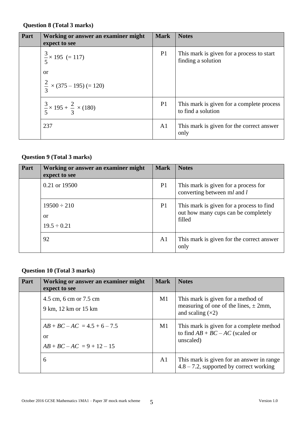#### **Question 8 (Total 3 marks)**

| Part | Working or answer an examiner might<br>expect to see | <b>Mark</b>    | <b>Notes</b>                                                    |
|------|------------------------------------------------------|----------------|-----------------------------------------------------------------|
|      | $\frac{3}{5}$ × 195 (= 117)                          | P <sub>1</sub> | This mark is given for a process to start<br>finding a solution |
|      | <sub>or</sub>                                        |                |                                                                 |
|      | $\frac{2}{3}$ × (375 – 195) (= 120)                  |                |                                                                 |
|      | $\frac{3}{5}$ × 195 + $\frac{2}{3}$ × (180)          | P <sub>1</sub> | This mark is given for a complete process<br>to find a solution |
|      | 237                                                  | A <sub>1</sub> | This mark is given for the correct answer<br>only               |

## **Question 9 (Total 3 marks)**

| Part | Working or answer an examiner might<br>expect to see | <b>Mark</b>    | <b>Notes</b>                                                                              |
|------|------------------------------------------------------|----------------|-------------------------------------------------------------------------------------------|
|      | 0.21 or 19500                                        | P <sub>1</sub> | This mark is given for a process for<br>converting between ml and l                       |
|      | $19500 \div 210$<br>or<br>$19.5 \div 0.21$           | P <sub>1</sub> | This mark is given for a process to find<br>out how many cups can be completely<br>filled |
|      | 92                                                   | A1             | This mark is given for the correct answer<br>only                                         |

#### **Question 10 (Total 3 marks)**

| Part | Working or answer an examiner might<br>expect to see                            | <b>Mark</b>    | <b>Notes</b>                                                                                          |
|------|---------------------------------------------------------------------------------|----------------|-------------------------------------------------------------------------------------------------------|
|      | 4.5 cm, 6 cm or 7.5 cm<br>9 km, 12 km or 15 km                                  | M1             | This mark is given for a method of<br>measuring of one of the lines, $\pm$ 2mm,<br>and scaling $(x2)$ |
|      | $AB + BC - AC = 4.5 + 6 - 7.5$<br><sub>or</sub><br>$AB + BC - AC = 9 + 12 - 15$ | M1             | This mark is given for a complete method<br>to find $AB + BC - AC$ (scaled or<br>unscaled)            |
|      | 6                                                                               | A <sub>1</sub> | This mark is given for an answer in range<br>$4.8 - 7.2$ , supported by correct working               |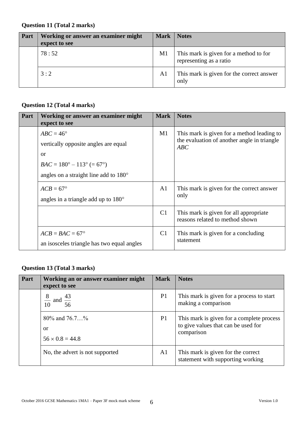#### **Question 11 (Total 2 marks)**

| Part | Working or answer an examiner might<br>expect to see | <b>Mark</b> | <b>Notes</b>                                                      |
|------|------------------------------------------------------|-------------|-------------------------------------------------------------------|
|      | 78:52                                                | M1          | This mark is given for a method to for<br>representing as a ratio |
|      | 3:2                                                  | A1          | This mark is given for the correct answer<br>only                 |

## **Question 12 (Total 4 marks)**

| Part | Working or answer an examiner might<br>expect to see                                                                                                                   | <b>Mark</b>    | <b>Notes</b>                                                                                     |
|------|------------------------------------------------------------------------------------------------------------------------------------------------------------------------|----------------|--------------------------------------------------------------------------------------------------|
|      | $ABC = 46^{\circ}$<br>vertically opposite angles are equal<br>or<br>$BAC = 180^{\circ} - 113^{\circ} (= 67^{\circ})$<br>angles on a straight line add to $180^{\circ}$ | M1             | This mark is given for a method leading to<br>the evaluation of another angle in triangle<br>ABC |
|      | $ACB = 67^{\circ}$<br>angles in a triangle add up to $180^\circ$                                                                                                       | A1             | This mark is given for the correct answer<br>only                                                |
|      |                                                                                                                                                                        | C <sub>1</sub> | This mark is given for all appropriate<br>reasons related to method shown                        |
|      | $ACB = BAC = 67^{\circ}$<br>an isosceles triangle has two equal angles                                                                                                 | C <sub>1</sub> | This mark is given for a concluding<br>statement                                                 |

## **Question 13 (Total 3 marks)**

| Part | Working an or answer examiner might<br>expect to see         | <b>Mark</b>    | <b>Notes</b>                                                                                   |
|------|--------------------------------------------------------------|----------------|------------------------------------------------------------------------------------------------|
|      | 8<br>and $\frac{43}{56}$<br>$\frac{1}{10}$                   | P <sub>1</sub> | This mark is given for a process to start<br>making a comparison                               |
|      | 80\% and $76.7$ %<br><sub>or</sub><br>$56 \times 0.8 = 44.8$ | P <sub>1</sub> | This mark is given for a complete process<br>to give values that can be used for<br>comparison |
|      | No, the advert is not supported                              | A <sub>1</sub> | This mark is given for the correct<br>statement with supporting working                        |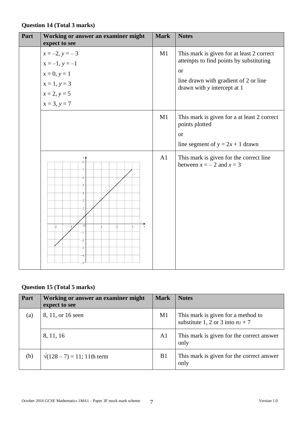## **Question 14 (Total 3 marks)**

| Part | Working or answer an examiner might<br>expect to see                                                                                              | <b>Mark</b> | <b>Notes</b>                                                                         |
|------|---------------------------------------------------------------------------------------------------------------------------------------------------|-------------|--------------------------------------------------------------------------------------|
|      | $x = -2, y = -3$                                                                                                                                  | M1          | This mark is given for at least 2 correct<br>attempts to find points by substituting |
|      | $x = -1, y = -1$                                                                                                                                  |             | <b>or</b>                                                                            |
|      | $x = 0, y = 1$                                                                                                                                    |             | line drawn with gradient of 2 or line                                                |
|      | $x = 1, y = 3$                                                                                                                                    |             | drawn with y intercept at 1                                                          |
|      | $x = 2, y = 5$                                                                                                                                    |             |                                                                                      |
|      | $x = 3, y = 7$                                                                                                                                    |             |                                                                                      |
|      |                                                                                                                                                   | M1          | This mark is given for a at least 2 correct<br>points plotted                        |
|      |                                                                                                                                                   |             | <sub>or</sub>                                                                        |
|      |                                                                                                                                                   |             | line segment of $y = 2x + 1$ drawn                                                   |
|      | $\mathcal{V}$ $\triangleq$<br>8<br>6<br>5<br>4<br>3<br>2<br>$\vec{x}$<br>$\overline{o}$<br>$-2$<br>$\frac{1}{2}$<br>$\frac{1}{3}$<br>$-2$<br>$-3$ | A1          | This mark is given for the correct line<br>between $x = -2$ and $x = 3$              |

## **Question 15 (Total 5 marks)**

| Part | Working or answer an examiner might<br>expect to see | <b>Mark</b>    | <b>Notes</b>                                                             |
|------|------------------------------------------------------|----------------|--------------------------------------------------------------------------|
| (a)  | 8, 11, or 16 seen                                    | M1             | This mark is given for a method to<br>substitute 1, 2 or 3 into $nz + 7$ |
|      | 8, 11, 16                                            | A <sub>1</sub> | This mark is given for the correct answer<br>only                        |
| (b)  | $\sqrt{(128-7)} = 11$ ; 11th term                    | B <sub>1</sub> | This mark is given for the correct answer<br>only                        |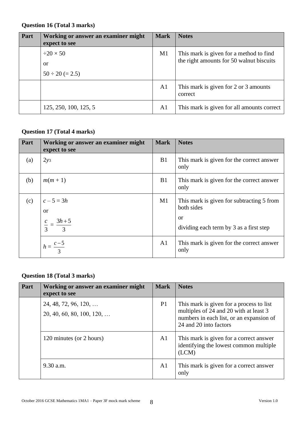#### **Question 16 (Total 3 marks)**

| Part | Working or answer an examiner might<br>expect to see | <b>Mark</b>    | <b>Notes</b>                                                                        |
|------|------------------------------------------------------|----------------|-------------------------------------------------------------------------------------|
|      | $\div 20 \times 50$                                  | M1             | This mark is given for a method to find<br>the right amounts for 50 walnut biscuits |
|      | <sub>or</sub>                                        |                |                                                                                     |
|      | $50 \div 20 (= 2.5)$                                 |                |                                                                                     |
|      |                                                      | A <sub>1</sub> | This mark is given for 2 or 3 amounts<br>correct                                    |
|      | 125, 250, 100, 125, 5                                | A <sub>1</sub> | This mark is given for all amounts correct                                          |

## **Question 17 (Total 4 marks)**

| Part | Working or answer an examiner might<br>expect to see            | <b>Mark</b>    | <b>Notes</b>                                                                                                    |
|------|-----------------------------------------------------------------|----------------|-----------------------------------------------------------------------------------------------------------------|
| (a)  | 2y3                                                             | B <sub>1</sub> | This mark is given for the correct answer<br>only                                                               |
| (b)  | $m(m+1)$                                                        | B1             | This mark is given for the correct answer<br>only                                                               |
| (c)  | $c - 5 = 3h$<br><sub>or</sub><br>$\frac{c}{3} = \frac{3h+5}{3}$ | M1             | This mark is given for subtracting 5 from<br>both sides<br><b>or</b><br>dividing each term by 3 as a first step |
|      | $h = \frac{c-5}{3}$                                             | A <sub>1</sub> | This mark is given for the correct answer<br>only                                                               |

#### **Question 18 (Total 3 marks)**

| Part | Working or answer an examiner might<br>expect to see                | <b>Mark</b>    | <b>Notes</b>                                                                                                                                             |
|------|---------------------------------------------------------------------|----------------|----------------------------------------------------------------------------------------------------------------------------------------------------------|
|      | $24, 48, 72, 96, 120, \ldots$<br>$20, 40, 60, 80, 100, 120, \ldots$ | P <sub>1</sub> | This mark is given for a process to list<br>multiples of 24 and 20 with at least 3<br>numbers in each list, or an expansion of<br>24 and 20 into factors |
|      | 120 minutes (or 2 hours)                                            | A <sub>1</sub> | This mark is given for a correct answer<br>identifying the lowest common multiple<br>(LCM)                                                               |
|      | $9.30$ a.m.                                                         | A1             | This mark is given for a correct answer<br>only                                                                                                          |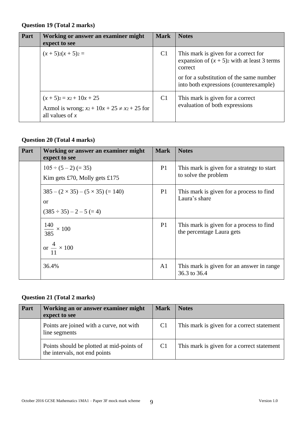#### **Question 19 (Total 2 marks)**

| Part | Working or answer an examiner might<br>expect to see                                                                       | <b>Mark</b>    | <b>Notes</b>                                                                                                                                |
|------|----------------------------------------------------------------------------------------------------------------------------|----------------|---------------------------------------------------------------------------------------------------------------------------------------------|
|      | $(x+5)2(x+5)2 =$                                                                                                           | C <sub>1</sub> | This mark is given for a correct for<br>expansion of $(x + 5)$ with at least 3 terms<br>correct<br>or for a substitution of the same number |
|      |                                                                                                                            |                | into both expressions (counterexample)                                                                                                      |
|      | $(x+5)$ <sub>2</sub> = x <sub>2</sub> + 10x + 25<br>Azmol is wrong; $xz + 10x + 25 \neq x^2 + 25$ for<br>all values of $x$ | C <sub>1</sub> | This mark is given for a correct<br>evaluation of both expressions                                                                          |

## **Question 20 (Total 4 marks)**

| Part | Working or answer an examiner might<br>expect to see                                 | <b>Mark</b>    | <b>Notes</b>                                                          |
|------|--------------------------------------------------------------------------------------|----------------|-----------------------------------------------------------------------|
|      | $105 \div (5-2) (=35)$<br>Kim gets £70, Molly gets £175                              | P <sub>1</sub> | This mark is given for a strategy to start<br>to solve the problem    |
|      | $385 - (2 \times 35) - (5 \times 35) = (140)$<br>or<br>$(385 \div 35) - 2 - 5 (= 4)$ | P <sub>1</sub> | This mark is given for a process to find<br>Laura's share             |
|      | $\frac{140}{385} \times 100$<br>$\frac{4}{11} \times 100$                            | P <sub>1</sub> | This mark is given for a process to find<br>the percentage Laura gets |
|      | 36.4%                                                                                | A <sub>1</sub> | This mark is given for an answer in range<br>36.3 to 36.4             |

### **Question 21 (Total 2 marks)**

| Part | Working an or answer examiner might<br>expect to see                       | <b>Mark</b>    | <b>Notes</b>                               |
|------|----------------------------------------------------------------------------|----------------|--------------------------------------------|
|      | Points are joined with a curve, not with<br>line segments                  | C <sub>1</sub> | This mark is given for a correct statement |
|      | Points should be plotted at mid-points of<br>the intervals, not end points | C <sub>1</sub> | This mark is given for a correct statement |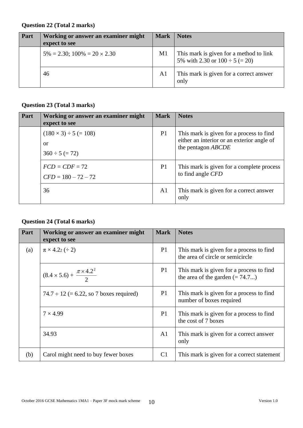#### **Question 22 (Total 2 marks)**

| <b>Part</b> | Working or answer an examiner might<br>expect to see | <b>Mark</b>    | <b>Notes</b>                                                                   |
|-------------|------------------------------------------------------|----------------|--------------------------------------------------------------------------------|
|             | $5\% = 2.30$ ; $100\% = 20 \times 2.30$              | M1             | This mark is given for a method to link<br>5% with 2.30 or $100 \div 5 (= 20)$ |
|             | 46                                                   | A <sub>1</sub> | This mark is given for a correct answer<br>only                                |

## **Question 23 (Total 3 marks)**

| Part | Working or answer an examiner might<br>expect to see         | <b>Mark</b>    | <b>Notes</b>                                                                                                        |
|------|--------------------------------------------------------------|----------------|---------------------------------------------------------------------------------------------------------------------|
|      | $(180 \times 3) \div 5 (= 108)$<br>or<br>$360 \div 5 (= 72)$ | P <sub>1</sub> | This mark is given for a process to find<br>either an interior or an exterior angle of<br>the pentagon <i>ABCDE</i> |
|      | $FCD = CDF = 72$<br>$CFD = 180 - 72 - 72$                    | P <sub>1</sub> | This mark is given for a complete process<br>to find angle CFD                                                      |
|      | 36                                                           | A <sub>1</sub> | This mark is given for a correct answer<br>only                                                                     |

## **Question 24 (Total 6 marks)**

| Part | Working or answer an examiner might<br>expect to see | <b>Mark</b>    | <b>Notes</b>                                                                  |
|------|------------------------------------------------------|----------------|-------------------------------------------------------------------------------|
| (a)  | $\pi \times 4.22 \ (\div 2)$                         | P1             | This mark is given for a process to find<br>the area of circle or semicircle  |
|      | $(8.4 \times 5.6) + \frac{\pi \times 4.2^2}{2}$      | P <sub>1</sub> | This mark is given for a process to find<br>the area of the garden $(= 74.7)$ |
|      | $74.7 \div 12$ (= 6.22, so 7 boxes required)         | P1             | This mark is given for a process to find<br>number of boxes required          |
|      | $7 \times 4.99$                                      | P <sub>1</sub> | This mark is given for a process to find<br>the cost of 7 boxes               |
|      | 34.93                                                | A <sub>1</sub> | This mark is given for a correct answer<br>only                               |
| (b)  | Carol might need to buy fewer boxes                  | C <sub>1</sub> | This mark is given for a correct statement                                    |